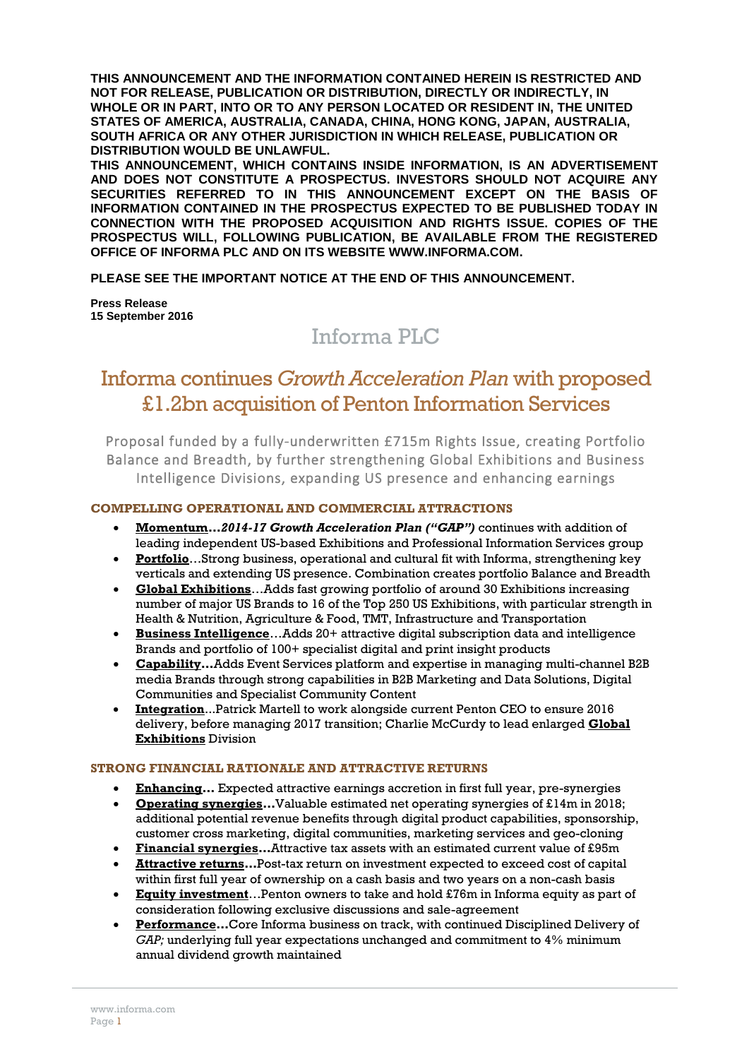**THIS ANNOUNCEMENT AND THE INFORMATION CONTAINED HEREIN IS RESTRICTED AND NOT FOR RELEASE, PUBLICATION OR DISTRIBUTION, DIRECTLY OR INDIRECTLY, IN WHOLE OR IN PART, INTO OR TO ANY PERSON LOCATED OR RESIDENT IN, THE UNITED STATES OF AMERICA, AUSTRALIA, CANADA, CHINA, HONG KONG, JAPAN, AUSTRALIA, SOUTH AFRICA OR ANY OTHER JURISDICTION IN WHICH RELEASE, PUBLICATION OR DISTRIBUTION WOULD BE UNLAWFUL.**

**THIS ANNOUNCEMENT, WHICH CONTAINS INSIDE INFORMATION, IS AN ADVERTISEMENT AND DOES NOT CONSTITUTE A PROSPECTUS. INVESTORS SHOULD NOT ACQUIRE ANY SECURITIES REFERRED TO IN THIS ANNOUNCEMENT EXCEPT ON THE BASIS OF INFORMATION CONTAINED IN THE PROSPECTUS EXPECTED TO BE PUBLISHED TODAY IN CONNECTION WITH THE PROPOSED ACQUISITION AND RIGHTS ISSUE. COPIES OF THE PROSPECTUS WILL, FOLLOWING PUBLICATION, BE AVAILABLE FROM THE REGISTERED OFFICE OF INFORMA PLC AND ON ITS WEBSITE WWW.INFORMA.COM.**

**PLEASE SEE THE IMPORTANT NOTICE AT THE END OF THIS ANNOUNCEMENT.**

**Press Release 15 September 2016**

# Informa PLC

## Informa continues *Growth Acceleration Plan* with proposed £1.2bn acquisition of Penton Information Services

Proposal funded by a fully-underwritten £715m Rights Issue, creating Portfolio Balance and Breadth, by further strengthening Global Exhibitions and Business Intelligence Divisions, expanding US presence and enhancing earnings

## **COMPELLING OPERATIONAL AND COMMERCIAL ATTRACTIONS**

- **Momentum***…2014-17 Growth Acceleration Plan ("GAP")* continues with addition of leading independent US-based Exhibitions and Professional Information Services group
- **Portfolio**…Strong business, operational and cultural fit with Informa, strengthening key verticals and extending US presence. Combination creates portfolio Balance and Breadth
- **Global Exhibitions**…Adds fast growing portfolio of around 30 Exhibitions increasing number of major US Brands to 16 of the Top 250 US Exhibitions, with particular strength in Health & Nutrition, Agriculture & Food, TMT, Infrastructure and Transportation
- **Business Intelligence**…Adds 20+ attractive digital subscription data and intelligence Brands and portfolio of 100+ specialist digital and print insight products
- **Capability…**Adds Event Services platform and expertise in managing multi-channel B2B media Brands through strong capabilities in B2B Marketing and Data Solutions, Digital Communities and Specialist Community Content
- **Integration**...Patrick Martell to work alongside current Penton CEO to ensure 2016 delivery, before managing 2017 transition; Charlie McCurdy to lead enlarged **Global Exhibitions** Division

## **STRONG FINANCIAL RATIONALE AND ATTRACTIVE RETURNS**

- **Enhancing…** Expected attractive earnings accretion in first full year, pre-synergies
- **Operating synergies…**Valuable estimated net operating synergies of £14m in 2018; additional potential revenue benefits through digital product capabilities, sponsorship, customer cross marketing, digital communities, marketing services and geo-cloning
- **Financial synergies…**Attractive tax assets with an estimated current value of £95m
- **Attractive returns…**Post-tax return on investment expected to exceed cost of capital within first full year of ownership on a cash basis and two years on a non-cash basis
- **Equity investment**…Penton owners to take and hold £76m in Informa equity as part of consideration following exclusive discussions and sale-agreement
- **Performance…**Core Informa business on track, with continued Disciplined Delivery of *GAP;* underlying full year expectations unchanged and commitment to 4% minimum annual dividend growth maintained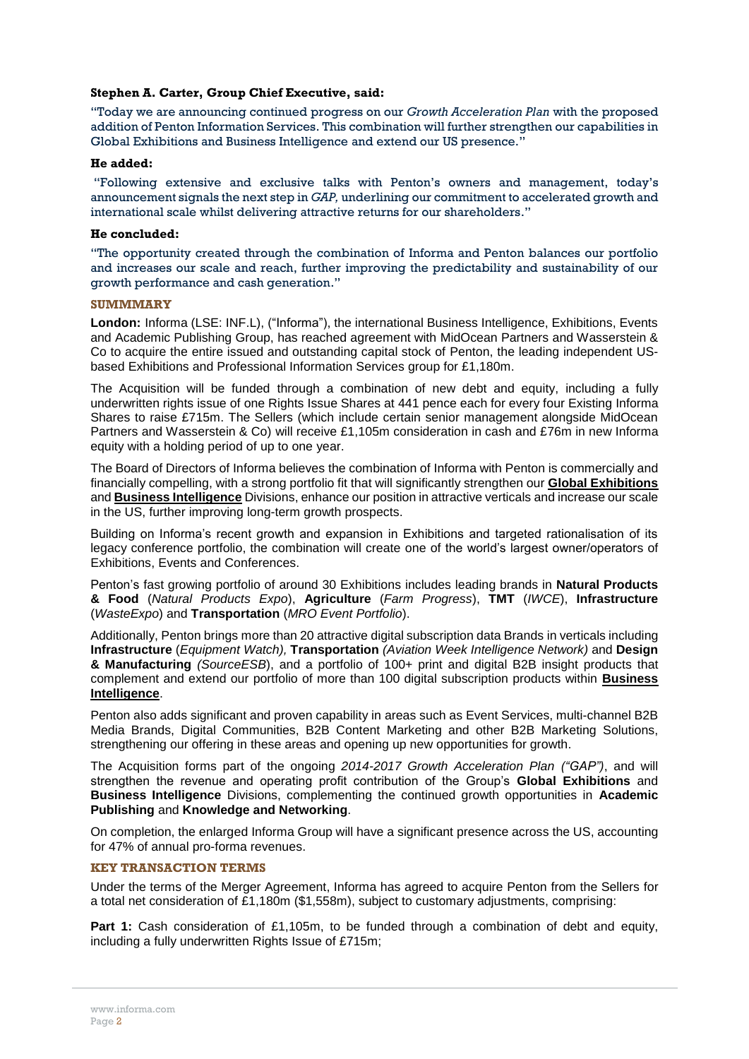#### **Stephen A. Carter, Group Chief Executive, said:**

"Today we are announcing continued progress on our *Growth Acceleration Plan* with the proposed addition of Penton Information Services. This combination will further strengthen our capabilities in Global Exhibitions and Business Intelligence and extend our US presence."

#### **He added:**

"Following extensive and exclusive talks with Penton's owners and management, today's announcement signals the next step in *GAP,* underlining our commitment to accelerated growth and international scale whilst delivering attractive returns for our shareholders."

#### **He concluded:**

"The opportunity created through the combination of Informa and Penton balances our portfolio and increases our scale and reach, further improving the predictability and sustainability of our growth performance and cash generation."

#### **SUMMMARY**

**London:** Informa (LSE: INF.L), ("Informa"), the international Business Intelligence, Exhibitions, Events and Academic Publishing Group, has reached agreement with MidOcean Partners and Wasserstein & Co to acquire the entire issued and outstanding capital stock of Penton, the leading independent USbased Exhibitions and Professional Information Services group for £1,180m.

The Acquisition will be funded through a combination of new debt and equity, including a fully underwritten rights issue of one Rights Issue Shares at 441 pence each for every four Existing Informa Shares to raise £715m. The Sellers (which include certain senior management alongside MidOcean Partners and Wasserstein & Co) will receive £1,105m consideration in cash and £76m in new Informa equity with a holding period of up to one year.

The Board of Directors of Informa believes the combination of Informa with Penton is commercially and financially compelling, with a strong portfolio fit that will significantly strengthen our **Global Exhibitions** and **Business Intelligence** Divisions, enhance our position in attractive verticals and increase our scale in the US, further improving long-term growth prospects.

Building on Informa's recent growth and expansion in Exhibitions and targeted rationalisation of its legacy conference portfolio, the combination will create one of the world's largest owner/operators of Exhibitions, Events and Conferences.

Penton's fast growing portfolio of around 30 Exhibitions includes leading brands in **Natural Products & Food** (*Natural Products Expo*), **Agriculture** (*Farm Progress*), **TMT** (*IWCE*), **Infrastructure** (*WasteExpo*) and **Transportation** (*MRO Event Portfolio*).

Additionally, Penton brings more than 20 attractive digital subscription data Brands in verticals including **Infrastructure** (*Equipment Watch),* **Transportation** *(Aviation Week Intelligence Network)* and **Design & Manufacturing** *(SourceESB*), and a portfolio of 100+ print and digital B2B insight products that complement and extend our portfolio of more than 100 digital subscription products within **Business Intelligence**.

Penton also adds significant and proven capability in areas such as Event Services, multi-channel B2B Media Brands, Digital Communities, B2B Content Marketing and other B2B Marketing Solutions, strengthening our offering in these areas and opening up new opportunities for growth.

The Acquisition forms part of the ongoing *2014-2017 Growth Acceleration Plan ("GAP")*, and will strengthen the revenue and operating profit contribution of the Group's **Global Exhibitions** and **Business Intelligence** Divisions, complementing the continued growth opportunities in **Academic Publishing** and **Knowledge and Networking**.

On completion, the enlarged Informa Group will have a significant presence across the US, accounting for 47% of annual pro-forma revenues.

#### **KEY TRANSACTION TERMS**

Under the terms of the Merger Agreement, Informa has agreed to acquire Penton from the Sellers for a total net consideration of £1,180m (\$1,558m), subject to customary adjustments, comprising:

**Part 1:** Cash consideration of £1,105m, to be funded through a combination of debt and equity, including a fully underwritten Rights Issue of £715m;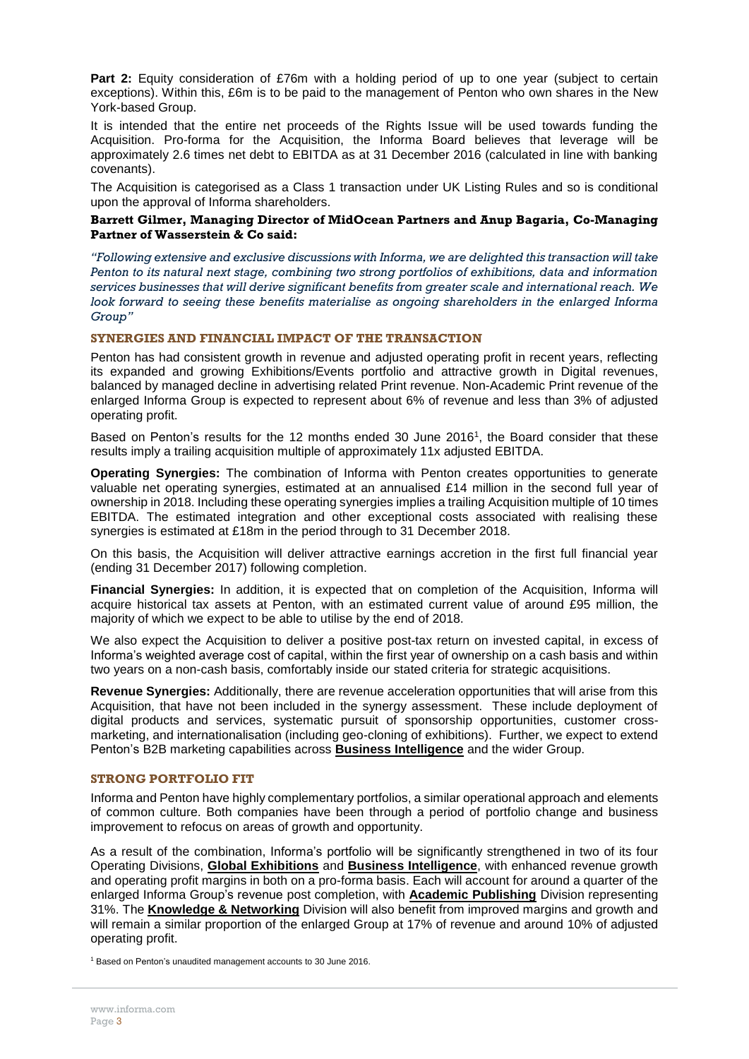**Part 2:** Equity consideration of £76m with a holding period of up to one year (subject to certain exceptions). Within this, £6m is to be paid to the management of Penton who own shares in the New York-based Group.

It is intended that the entire net proceeds of the Rights Issue will be used towards funding the Acquisition. Pro-forma for the Acquisition, the Informa Board believes that leverage will be approximately 2.6 times net debt to EBITDA as at 31 December 2016 (calculated in line with banking covenants).

The Acquisition is categorised as a Class 1 transaction under UK Listing Rules and so is conditional upon the approval of Informa shareholders.

#### **Barrett Gilmer, Managing Director of MidOcean Partners and Anup Bagaria, Co-Managing Partner of Wasserstein & Co said:**

*"Following extensive and exclusive discussions with Informa, we are delighted this transaction will take Penton to its natural next stage, combining two strong portfolios of exhibitions, data and information services businesses that will derive significant benefits from greater scale and international reach. We look forward to seeing these benefits materialise as ongoing shareholders in the enlarged Informa Group"*

## **SYNERGIES AND FINANCIAL IMPACT OF THE TRANSACTION**

Penton has had consistent growth in revenue and adjusted operating profit in recent years, reflecting its expanded and growing Exhibitions/Events portfolio and attractive growth in Digital revenues, balanced by managed decline in advertising related Print revenue. Non-Academic Print revenue of the enlarged Informa Group is expected to represent about 6% of revenue and less than 3% of adjusted operating profit.

Based on Penton's results for the 12 months ended 30 June 2016<sup>1</sup> , the Board consider that these results imply a trailing acquisition multiple of approximately 11x adjusted EBITDA.

**Operating Synergies:** The combination of Informa with Penton creates opportunities to generate valuable net operating synergies, estimated at an annualised £14 million in the second full year of ownership in 2018. Including these operating synergies implies a trailing Acquisition multiple of 10 times EBITDA. The estimated integration and other exceptional costs associated with realising these synergies is estimated at £18m in the period through to 31 December 2018.

On this basis, the Acquisition will deliver attractive earnings accretion in the first full financial year (ending 31 December 2017) following completion.

**Financial Synergies:** In addition, it is expected that on completion of the Acquisition, Informa will acquire historical tax assets at Penton, with an estimated current value of around £95 million, the majority of which we expect to be able to utilise by the end of 2018.

We also expect the Acquisition to deliver a positive post-tax return on invested capital, in excess of Informa's weighted average cost of capital, within the first year of ownership on a cash basis and within two years on a non-cash basis, comfortably inside our stated criteria for strategic acquisitions.

**Revenue Synergies:** Additionally, there are revenue acceleration opportunities that will arise from this Acquisition, that have not been included in the synergy assessment. These include deployment of digital products and services, systematic pursuit of sponsorship opportunities, customer crossmarketing, and internationalisation (including geo-cloning of exhibitions). Further, we expect to extend Penton's B2B marketing capabilities across **Business Intelligence** and the wider Group.

#### **STRONG PORTFOLIO FIT**

Informa and Penton have highly complementary portfolios, a similar operational approach and elements of common culture. Both companies have been through a period of portfolio change and business improvement to refocus on areas of growth and opportunity.

As a result of the combination, Informa's portfolio will be significantly strengthened in two of its four Operating Divisions, **Global Exhibitions** and **Business Intelligence**, with enhanced revenue growth and operating profit margins in both on a pro-forma basis. Each will account for around a quarter of the enlarged Informa Group's revenue post completion, with **Academic Publishing** Division representing 31%. The **Knowledge & Networking** Division will also benefit from improved margins and growth and will remain a similar proportion of the enlarged Group at 17% of revenue and around 10% of adjusted operating profit.

<sup>1</sup> Based on Penton's unaudited management accounts to 30 June 2016.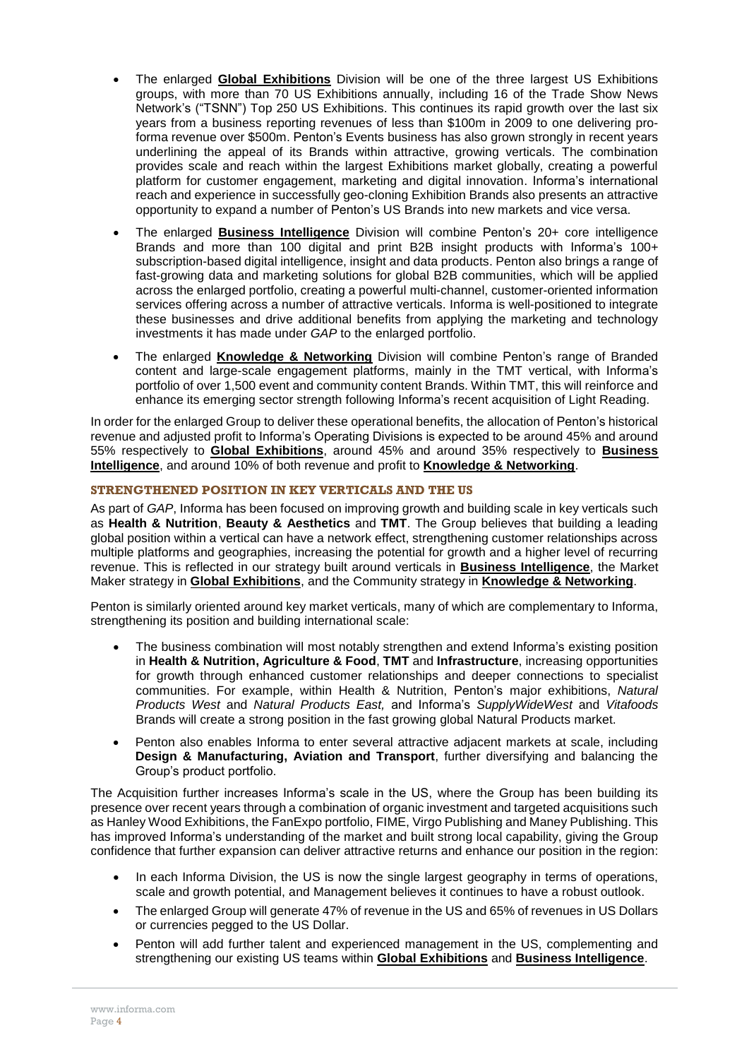- The enlarged **Global Exhibitions** Division will be one of the three largest US Exhibitions groups, with more than 70 US Exhibitions annually, including 16 of the Trade Show News Network's ("TSNN") Top 250 US Exhibitions. This continues its rapid growth over the last six years from a business reporting revenues of less than \$100m in 2009 to one delivering proforma revenue over \$500m. Penton's Events business has also grown strongly in recent years underlining the appeal of its Brands within attractive, growing verticals. The combination provides scale and reach within the largest Exhibitions market globally, creating a powerful platform for customer engagement, marketing and digital innovation. Informa's international reach and experience in successfully geo-cloning Exhibition Brands also presents an attractive opportunity to expand a number of Penton's US Brands into new markets and vice versa.
- The enlarged **Business Intelligence** Division will combine Penton's 20+ core intelligence Brands and more than 100 digital and print B2B insight products with Informa's 100+ subscription-based digital intelligence, insight and data products. Penton also brings a range of fast-growing data and marketing solutions for global B2B communities, which will be applied across the enlarged portfolio, creating a powerful multi-channel, customer-oriented information services offering across a number of attractive verticals. Informa is well-positioned to integrate these businesses and drive additional benefits from applying the marketing and technology investments it has made under *GAP* to the enlarged portfolio.
- The enlarged **Knowledge & Networking** Division will combine Penton's range of Branded content and large-scale engagement platforms, mainly in the TMT vertical, with Informa's portfolio of over 1,500 event and community content Brands. Within TMT, this will reinforce and enhance its emerging sector strength following Informa's recent acquisition of Light Reading.

In order for the enlarged Group to deliver these operational benefits, the allocation of Penton's historical revenue and adjusted profit to Informa's Operating Divisions is expected to be around 45% and around 55% respectively to **Global Exhibitions**, around 45% and around 35% respectively to **Business Intelligence**, and around 10% of both revenue and profit to **Knowledge & Networking**.

## **STRENGTHENED POSITION IN KEY VERTICALS AND THE US**

As part of *GAP*, Informa has been focused on improving growth and building scale in key verticals such as **Health & Nutrition**, **Beauty & Aesthetics** and **TMT**. The Group believes that building a leading global position within a vertical can have a network effect, strengthening customer relationships across multiple platforms and geographies, increasing the potential for growth and a higher level of recurring revenue. This is reflected in our strategy built around verticals in **Business Intelligence**, the Market Maker strategy in **Global Exhibitions**, and the Community strategy in **Knowledge & Networking**.

Penton is similarly oriented around key market verticals, many of which are complementary to Informa, strengthening its position and building international scale:

- The business combination will most notably strengthen and extend Informa's existing position in **Health & Nutrition, Agriculture & Food**, **TMT** and **Infrastructure**, increasing opportunities for growth through enhanced customer relationships and deeper connections to specialist communities. For example, within Health & Nutrition, Penton's major exhibitions, *Natural Products West* and *Natural Products East,* and Informa's *SupplyWideWest* and *Vitafoods* Brands will create a strong position in the fast growing global Natural Products market.
- Penton also enables Informa to enter several attractive adjacent markets at scale, including **Design & Manufacturing, Aviation and Transport**, further diversifying and balancing the Group's product portfolio.

The Acquisition further increases Informa's scale in the US, where the Group has been building its presence over recent years through a combination of organic investment and targeted acquisitions such as Hanley Wood Exhibitions, the FanExpo portfolio, FIME, Virgo Publishing and Maney Publishing. This has improved Informa's understanding of the market and built strong local capability, giving the Group confidence that further expansion can deliver attractive returns and enhance our position in the region:

- In each Informa Division, the US is now the single largest geography in terms of operations, scale and growth potential, and Management believes it continues to have a robust outlook.
- The enlarged Group will generate 47% of revenue in the US and 65% of revenues in US Dollars or currencies pegged to the US Dollar.
- Penton will add further talent and experienced management in the US, complementing and strengthening our existing US teams within **Global Exhibitions** and **Business Intelligence**.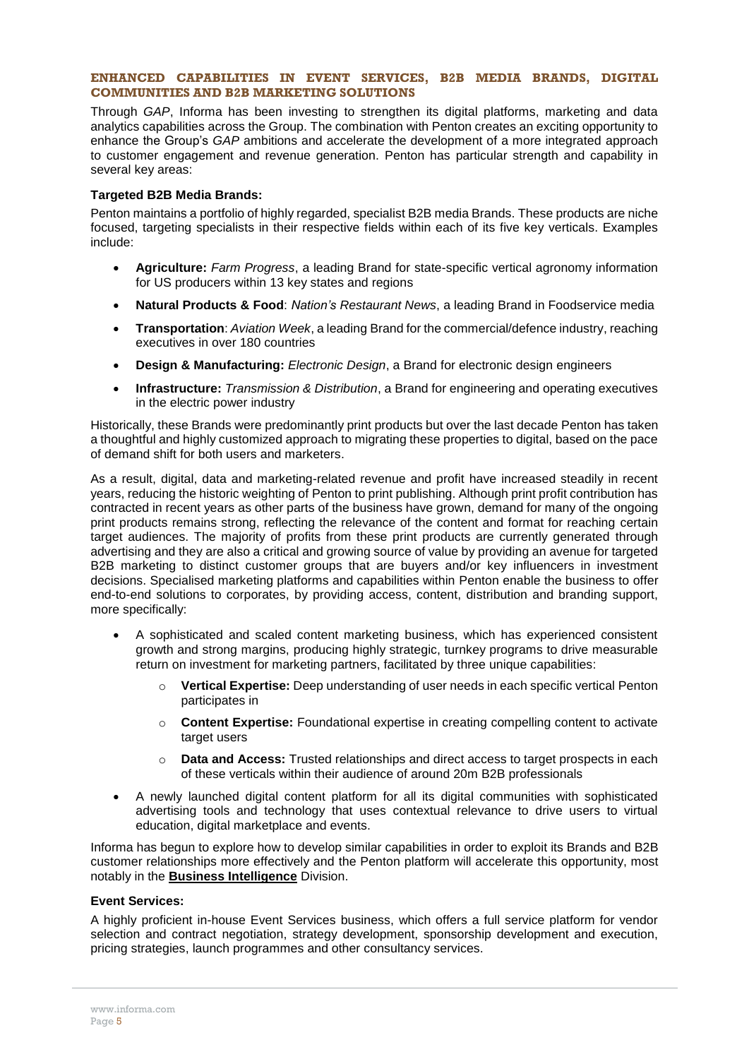### **ENHANCED CAPABILITIES IN EVENT SERVICES, B2B MEDIA BRANDS, DIGITAL COMMUNITIES AND B2B MARKETING SOLUTIONS**

Through *GAP*, Informa has been investing to strengthen its digital platforms, marketing and data analytics capabilities across the Group. The combination with Penton creates an exciting opportunity to enhance the Group's *GAP* ambitions and accelerate the development of a more integrated approach to customer engagement and revenue generation. Penton has particular strength and capability in several key areas:

## **Targeted B2B Media Brands:**

Penton maintains a portfolio of highly regarded, specialist B2B media Brands. These products are niche focused, targeting specialists in their respective fields within each of its five key verticals. Examples include:

- **Agriculture:** *Farm Progress*, a leading Brand for state-specific vertical agronomy information for US producers within 13 key states and regions
- **Natural Products & Food**: *Nation's Restaurant News*, a leading Brand in Foodservice media
- **Transportation**: *Aviation Week*, a leading Brand for the commercial/defence industry, reaching executives in over 180 countries
- **Design & Manufacturing:** *Electronic Design*, a Brand for electronic design engineers
- **Infrastructure:** *Transmission & Distribution*, a Brand for engineering and operating executives in the electric power industry

Historically, these Brands were predominantly print products but over the last decade Penton has taken a thoughtful and highly customized approach to migrating these properties to digital, based on the pace of demand shift for both users and marketers.

As a result, digital, data and marketing-related revenue and profit have increased steadily in recent years, reducing the historic weighting of Penton to print publishing. Although print profit contribution has contracted in recent years as other parts of the business have grown, demand for many of the ongoing print products remains strong, reflecting the relevance of the content and format for reaching certain target audiences. The majority of profits from these print products are currently generated through advertising and they are also a critical and growing source of value by providing an avenue for targeted B2B marketing to distinct customer groups that are buyers and/or key influencers in investment decisions. Specialised marketing platforms and capabilities within Penton enable the business to offer end-to-end solutions to corporates, by providing access, content, distribution and branding support, more specifically:

- A sophisticated and scaled content marketing business, which has experienced consistent growth and strong margins, producing highly strategic, turnkey programs to drive measurable return on investment for marketing partners, facilitated by three unique capabilities:
	- o **Vertical Expertise:** Deep understanding of user needs in each specific vertical Penton participates in
	- o **Content Expertise:** Foundational expertise in creating compelling content to activate target users
	- o **Data and Access:** Trusted relationships and direct access to target prospects in each of these verticals within their audience of around 20m B2B professionals
- A newly launched digital content platform for all its digital communities with sophisticated advertising tools and technology that uses contextual relevance to drive users to virtual education, digital marketplace and events.

Informa has begun to explore how to develop similar capabilities in order to exploit its Brands and B2B customer relationships more effectively and the Penton platform will accelerate this opportunity, most notably in the **Business Intelligence** Division.

## **Event Services:**

A highly proficient in-house Event Services business, which offers a full service platform for vendor selection and contract negotiation, strategy development, sponsorship development and execution, pricing strategies, launch programmes and other consultancy services.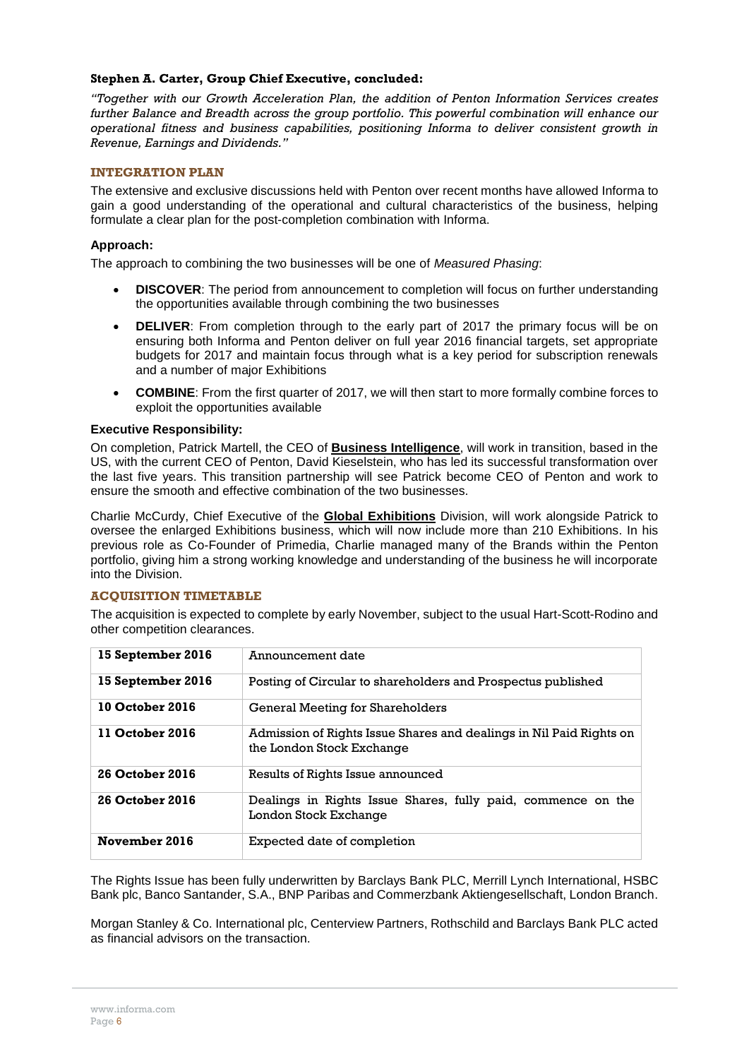### **Stephen A. Carter, Group Chief Executive, concluded:**

*"Together with our Growth Acceleration Plan, the addition of Penton Information Services creates*  further Balance and Breadth across the group portfolio. This powerful combination will enhance our *operational fitness and business capabilities, positioning Informa to deliver consistent growth in Revenue, Earnings and Dividends."*

## **INTEGRATION PLAN**

The extensive and exclusive discussions held with Penton over recent months have allowed Informa to gain a good understanding of the operational and cultural characteristics of the business, helping formulate a clear plan for the post-completion combination with Informa.

## **Approach:**

The approach to combining the two businesses will be one of *Measured Phasing*:

- **DISCOVER:** The period from announcement to completion will focus on further understanding the opportunities available through combining the two businesses
- **DELIVER**: From completion through to the early part of 2017 the primary focus will be on ensuring both Informa and Penton deliver on full year 2016 financial targets, set appropriate budgets for 2017 and maintain focus through what is a key period for subscription renewals and a number of major Exhibitions
- **COMBINE**: From the first quarter of 2017, we will then start to more formally combine forces to exploit the opportunities available

### **Executive Responsibility:**

On completion, Patrick Martell, the CEO of **Business Intelligence**, will work in transition, based in the US, with the current CEO of Penton, David Kieselstein, who has led its successful transformation over the last five years. This transition partnership will see Patrick become CEO of Penton and work to ensure the smooth and effective combination of the two businesses.

Charlie McCurdy, Chief Executive of the **Global Exhibitions** Division, will work alongside Patrick to oversee the enlarged Exhibitions business, which will now include more than 210 Exhibitions. In his previous role as Co-Founder of Primedia, Charlie managed many of the Brands within the Penton portfolio, giving him a strong working knowledge and understanding of the business he will incorporate into the Division.

## **ACQUISITION TIMETABLE**

The acquisition is expected to complete by early November, subject to the usual Hart-Scott-Rodino and other competition clearances.

| 15 September 2016      | Announcement date                                                                                |
|------------------------|--------------------------------------------------------------------------------------------------|
| 15 September 2016      | Posting of Circular to shareholders and Prospectus published                                     |
| 10 October 2016        | General Meeting for Shareholders                                                                 |
| 11 October 2016        | Admission of Rights Issue Shares and dealings in Nil Paid Rights on<br>the London Stock Exchange |
| <b>26 October 2016</b> | Results of Rights Issue announced                                                                |
| 26 October 2016        | Dealings in Rights Issue Shares, fully paid, commence on the<br>London Stock Exchange            |
| November 2016          | Expected date of completion                                                                      |

The Rights Issue has been fully underwritten by Barclays Bank PLC, Merrill Lynch International, HSBC Bank plc, Banco Santander, S.A., BNP Paribas and Commerzbank Aktiengesellschaft, London Branch.

Morgan Stanley & Co. International plc, Centerview Partners, Rothschild and Barclays Bank PLC acted as financial advisors on the transaction.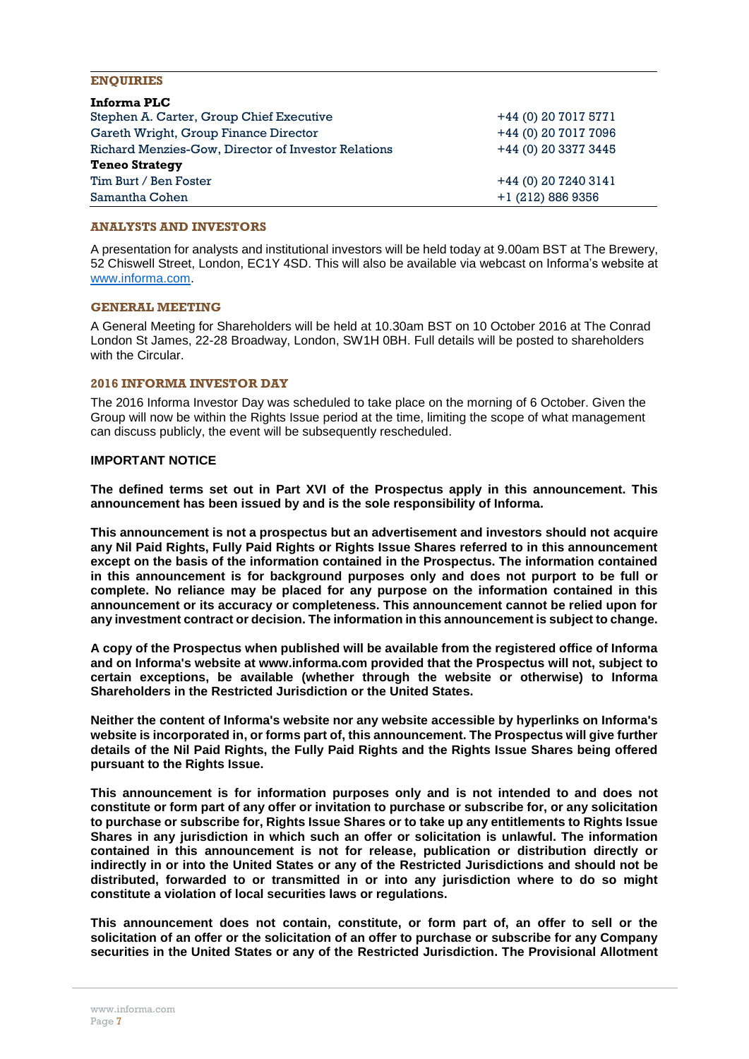#### **ENQUIRIES**

| Informa PLC                                         |                      |
|-----------------------------------------------------|----------------------|
| Stephen A. Carter, Group Chief Executive            | +44 (0) 20 7017 5771 |
| Gareth Wright, Group Finance Director               | +44 (0) 20 7017 7096 |
| Richard Menzies-Gow, Director of Investor Relations | +44 (0) 20 3377 3445 |
| <b>Teneo Strategy</b>                               |                      |
| Tim Burt / Ben Foster                               | +44 (0) 20 7240 3141 |
| Samantha Cohen                                      | $+1(212)8869356$     |

#### **ANALYSTS AND INVESTORS**

A presentation for analysts and institutional investors will be held today at 9.00am BST at The Brewery, 52 Chiswell Street, London, EC1Y 4SD. This will also be available via webcast on Informa's website at [www.informa.com.](http://www.informa.com/)

#### **GENERAL MEETING**

A General Meeting for Shareholders will be held at 10.30am BST on 10 October 2016 at The Conrad London St James, 22-28 Broadway, London, SW1H 0BH. Full details will be posted to shareholders with the Circular.

#### **2016 INFORMA INVESTOR DAY**

The 2016 Informa Investor Day was scheduled to take place on the morning of 6 October. Given the Group will now be within the Rights Issue period at the time, limiting the scope of what management can discuss publicly, the event will be subsequently rescheduled.

#### **IMPORTANT NOTICE**

**The defined terms set out in Part XVI of the Prospectus apply in this announcement. This announcement has been issued by and is the sole responsibility of Informa.**

**This announcement is not a prospectus but an advertisement and investors should not acquire any Nil Paid Rights, Fully Paid Rights or Rights Issue Shares referred to in this announcement except on the basis of the information contained in the Prospectus. The information contained in this announcement is for background purposes only and does not purport to be full or complete. No reliance may be placed for any purpose on the information contained in this announcement or its accuracy or completeness. This announcement cannot be relied upon for any investment contract or decision. The information in this announcement is subject to change.**

**A copy of the Prospectus when published will be available from the registered office of Informa and on Informa's website at www.informa.com provided that the Prospectus will not, subject to certain exceptions, be available (whether through the website or otherwise) to Informa Shareholders in the Restricted Jurisdiction or the United States.**

**Neither the content of Informa's website nor any website accessible by hyperlinks on Informa's website is incorporated in, or forms part of, this announcement. The Prospectus will give further details of the Nil Paid Rights, the Fully Paid Rights and the Rights Issue Shares being offered pursuant to the Rights Issue.**

**This announcement is for information purposes only and is not intended to and does not constitute or form part of any offer or invitation to purchase or subscribe for, or any solicitation to purchase or subscribe for, Rights Issue Shares or to take up any entitlements to Rights Issue Shares in any jurisdiction in which such an offer or solicitation is unlawful. The information contained in this announcement is not for release, publication or distribution directly or indirectly in or into the United States or any of the Restricted Jurisdictions and should not be distributed, forwarded to or transmitted in or into any jurisdiction where to do so might constitute a violation of local securities laws or regulations.**

**This announcement does not contain, constitute, or form part of, an offer to sell or the solicitation of an offer or the solicitation of an offer to purchase or subscribe for any Company securities in the United States or any of the Restricted Jurisdiction. The Provisional Allotment**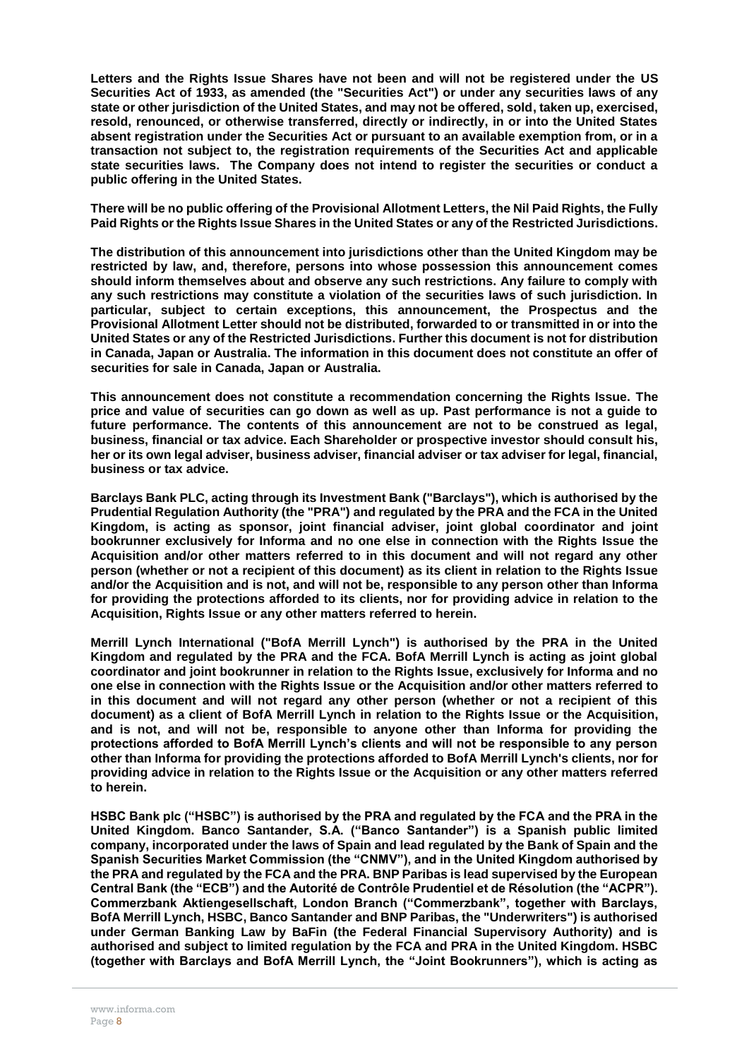**Letters and the Rights Issue Shares have not been and will not be registered under the US Securities Act of 1933, as amended (the "Securities Act") or under any securities laws of any state or other jurisdiction of the United States, and may not be offered, sold, taken up, exercised, resold, renounced, or otherwise transferred, directly or indirectly, in or into the United States absent registration under the Securities Act or pursuant to an available exemption from, or in a transaction not subject to, the registration requirements of the Securities Act and applicable state securities laws. The Company does not intend to register the securities or conduct a public offering in the United States.**

**There will be no public offering of the Provisional Allotment Letters, the Nil Paid Rights, the Fully Paid Rights or the Rights Issue Shares in the United States or any of the Restricted Jurisdictions.**

**The distribution of this announcement into jurisdictions other than the United Kingdom may be restricted by law, and, therefore, persons into whose possession this announcement comes should inform themselves about and observe any such restrictions. Any failure to comply with any such restrictions may constitute a violation of the securities laws of such jurisdiction. In particular, subject to certain exceptions, this announcement, the Prospectus and the Provisional Allotment Letter should not be distributed, forwarded to or transmitted in or into the United States or any of the Restricted Jurisdictions. Further this document is not for distribution in Canada, Japan or Australia. The information in this document does not constitute an offer of securities for sale in Canada, Japan or Australia.**

**This announcement does not constitute a recommendation concerning the Rights Issue. The price and value of securities can go down as well as up. Past performance is not a guide to future performance. The contents of this announcement are not to be construed as legal, business, financial or tax advice. Each Shareholder or prospective investor should consult his, her or its own legal adviser, business adviser, financial adviser or tax adviser for legal, financial, business or tax advice.**

**Barclays Bank PLC, acting through its Investment Bank ("Barclays"), which is authorised by the Prudential Regulation Authority (the "PRA") and regulated by the PRA and the FCA in the United Kingdom, is acting as sponsor, joint financial adviser, joint global coordinator and joint bookrunner exclusively for Informa and no one else in connection with the Rights Issue the Acquisition and/or other matters referred to in this document and will not regard any other person (whether or not a recipient of this document) as its client in relation to the Rights Issue and/or the Acquisition and is not, and will not be, responsible to any person other than Informa for providing the protections afforded to its clients, nor for providing advice in relation to the Acquisition, Rights Issue or any other matters referred to herein.**

**Merrill Lynch International ("BofA Merrill Lynch") is authorised by the PRA in the United Kingdom and regulated by the PRA and the FCA. BofA Merrill Lynch is acting as joint global coordinator and joint bookrunner in relation to the Rights Issue, exclusively for Informa and no one else in connection with the Rights Issue or the Acquisition and/or other matters referred to in this document and will not regard any other person (whether or not a recipient of this document) as a client of BofA Merrill Lynch in relation to the Rights Issue or the Acquisition, and is not, and will not be, responsible to anyone other than Informa for providing the protections afforded to BofA Merrill Lynch's clients and will not be responsible to any person other than Informa for providing the protections afforded to BofA Merrill Lynch's clients, nor for providing advice in relation to the Rights Issue or the Acquisition or any other matters referred to herein.**

**HSBC Bank plc ("HSBC") is authorised by the PRA and regulated by the FCA and the PRA in the United Kingdom. Banco Santander, S.A. ("Banco Santander") is a Spanish public limited company, incorporated under the laws of Spain and lead regulated by the Bank of Spain and the Spanish Securities Market Commission (the "CNMV"), and in the United Kingdom authorised by the PRA and regulated by the FCA and the PRA. BNP Paribas is lead supervised by the European Central Bank (the "ECB") and the Autorité de Contrôle Prudentiel et de Résolution (the "ACPR"). Commerzbank Aktiengesellschaft, London Branch ("Commerzbank", together with Barclays, BofA Merrill Lynch, HSBC, Banco Santander and BNP Paribas, the "Underwriters") is authorised under German Banking Law by BaFin (the Federal Financial Supervisory Authority) and is authorised and subject to limited regulation by the FCA and PRA in the United Kingdom. HSBC (together with Barclays and BofA Merrill Lynch, the "Joint Bookrunners"), which is acting as**